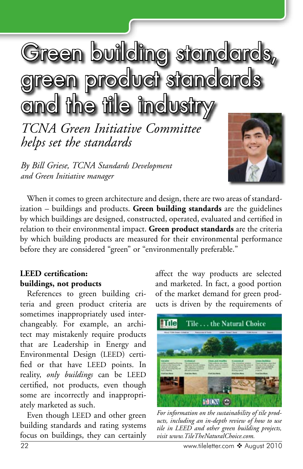# Green building standards, product standards and the tile indus

*TCNA Green Initiative Committee helps set the standards*

*By Bill Griese, TCNA Standards Development and Green Initiative manager*



When it comes to green architecture and design, there are two areas of standardization – buildings and products. **Green building standards** are the guidelines by which buildings are designed, constructed, operated, evaluated and certified in relation to their environmental impact. **Green product standards** are the criteria by which building products are measured for their environmental performance before they are considered "green" or "environmentally preferable."

## **LEED certification: buildings, not products**

References to green building criteria and green product criteria are sometimes inappropriately used interchangeably. For example, an architect may mistakenly require products that are Leadership in Energy and Environmental Design (LEED) certified or that have LEED points. In reality, *only buildings* can be LEED certified, not products, even though some are incorrectly and inappropriately marketed as such.

Even though LEED and other green building standards and rating systems focus on buildings, they can certainly affect the way products are selected and marketed. In fact, a good portion of the market demand for green products is driven by the requirements of



*For information on the sustainability of tile products, including an in-depth review of how to use tile in LEED and other green building projects, visit www.TileTheNaturalChoice.com.*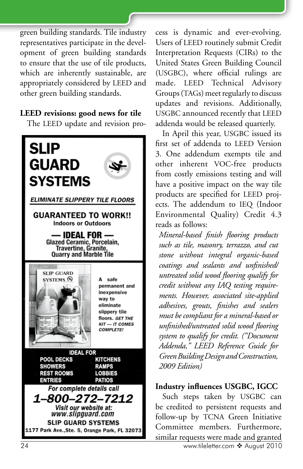green building standards. Tile industry representatives participate in the development of green building standards to ensure that the use of tile products, which are inherently sustainable, are appropriately considered by LEED and other green building standards.

#### **LEED revisions: good news for tile**

The LEED update and revision pro-



cess is dynamic and ever-evolving. Users of LEED routinely submit Credit Interpretation Requests (CIRs) to the United States Green Building Council (USGBC), where official rulings are made. LEED Technical Advisory Groups (TAGs) meet regularly to discuss updates and revisions. Additionally, USGBC announced recently that LEED addenda would be released quarterly.

In April this year, USGBC issued its first set of addenda to LEED Version 3. One addendum exempts tile and other inherent VOC-free products from costly emissions testing and will have a positive impact on the way tile products are specified for LEED projects. The addendum to IEQ (Indoor Environmental Quality) Credit 4.3 reads as follows:

*Mineral-based finish flooring products such as tile, masonry, terrazzo, and cut stone without integral organic-based coatings and sealants and unfinished/ untreated solid wood flooring qualify for credit without any IAQ testing requirements. However, associated site-applied adhesives, grouts, finishes and sealers must be compliant for a mineral-based or unfinished/untreated solid wood flooring system to qualify for credit. ("Document Addenda," LEED Reference Guide for Green Building Design and Construction, 2009 Edition)* 

### **Industry influences USGBC, IGCC**

Such steps taken by USGBC can be credited to persistent requests and follow-up by TCNA Green Initiative Committee members. Furthermore, similar requests were made and granted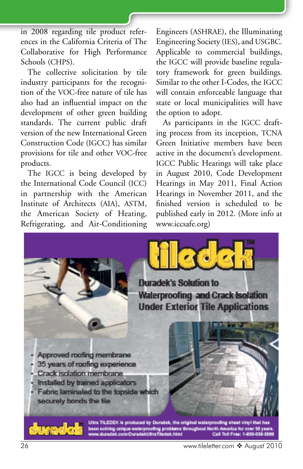in 2008 regarding tile product references in the California Criteria of The Collaborative for High Performance Schools (CHPS).

The collective solicitation by tile industry participants for the recognition of the VOC-free nature of tile has also had an influential impact on the development of other green building standards. The current public draft version of the new International Green Construction Code (IGCC) has similar provisions for tile and other VOC-free products.

The IGCC is being developed by the International Code Council (ICC) in partnership with the American Institute of Architects (AIA), ASTM, the American Society of Heating, Refrigerating, and Air-Conditioning

Engineers (ASHRAE), the Illuminating Engineering Society (IES), and USGBC. Applicable to commercial buildings, the IGCC will provide baseline regulatory framework for green buildings. Similar to the other I-Codes, the IGCC will contain enforceable language that state or local municipalities will have the option to adopt.

As participants in the IGCC drafting process from its inception, TCNA Green Initiative members have been active in the document's development. IGCC Public Hearings will take place in August 2010, Code Development Hearings in May 2011, Final Action Hearings in November 2011, and the finished version is scheduled to be published early in 2012. (More info at www.iccsafe.org)